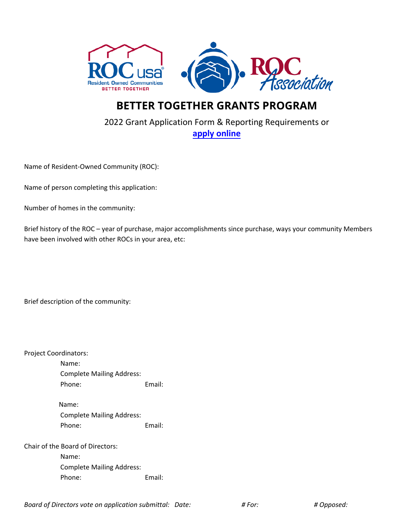



## **BETTER TOGETHER GRANTS PROGRAM**

## 2022 Grant Application Form & Reporting Requirements or **[apply online](https://rocusa.org/grants/apply)**

Name of Resident-Owned Community (ROC):

Name of person completing this application:

Number of homes in the community:

Brief history of the ROC – year of purchase, major accomplishments since purchase, ways your community Members have been involved with other ROCs in your area, etc:

Brief description of the community:

Project Coordinators:

Name: Complete Mailing Address: Phone: Email:

Name: Complete Mailing Address: Phone: Email:

Chair of the Board of Directors:

Name: Complete Mailing Address: Phone: Email:

*Board of Directors vote on application submittal: Date: # For: # Opposed:*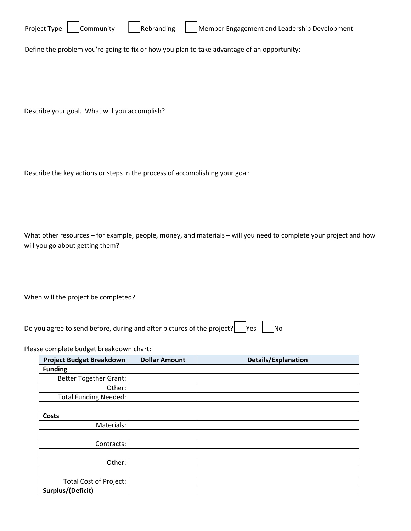

Define the problem you're going to fix or how you plan to take advantage of an opportunity:

Describe your goal. What will you accomplish?

Describe the key actions or steps in the process of accomplishing your goal:

What other resources – for example, people, money, and materials – will you need to complete your project and how will you go about getting them?

When will the project be completed?

Do you agree to send before, during and after pictures of the project?  $\Box$  Yes  $\Box$  No

Please complete budget breakdown chart:

| <b>Project Budget Breakdown</b> | <b>Dollar Amount</b> | <b>Details/Explanation</b> |
|---------------------------------|----------------------|----------------------------|
| <b>Funding</b>                  |                      |                            |
| <b>Better Together Grant:</b>   |                      |                            |
| Other:                          |                      |                            |
| <b>Total Funding Needed:</b>    |                      |                            |
|                                 |                      |                            |
| <b>Costs</b>                    |                      |                            |
| Materials:                      |                      |                            |
|                                 |                      |                            |
| Contracts:                      |                      |                            |
|                                 |                      |                            |
| Other:                          |                      |                            |
|                                 |                      |                            |
| <b>Total Cost of Project:</b>   |                      |                            |
| Surplus/(Deficit)               |                      |                            |